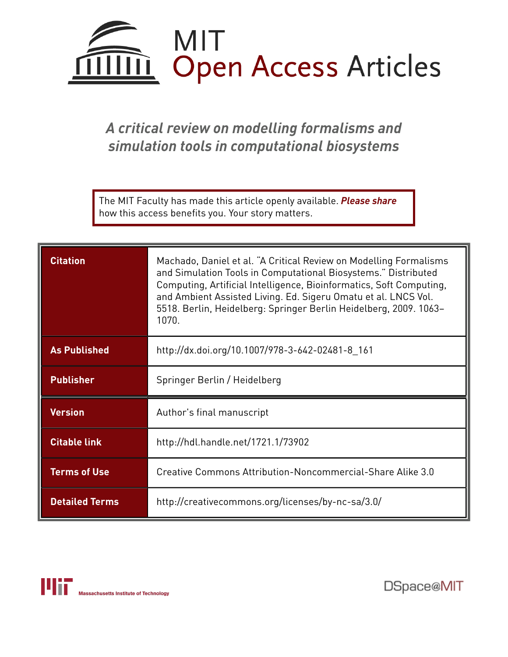

# *A critical review on modelling formalisms and simulation tools in computational biosystems*

The MIT Faculty has made this article openly available. *[Please](https://libraries.mit.edu/forms/dspace-oa-articles.html) share* how this access benefits you. Your story matters.

| <b>Citation</b>       | Machado, Daniel et al. "A Critical Review on Modelling Formalisms<br>and Simulation Tools in Computational Biosystems." Distributed<br>Computing, Artificial Intelligence, Bioinformatics, Soft Computing,<br>and Ambient Assisted Living. Ed. Sigeru Omatu et al. LNCS Vol.<br>5518. Berlin, Heidelberg: Springer Berlin Heidelberg, 2009. 1063-<br>1070. |
|-----------------------|------------------------------------------------------------------------------------------------------------------------------------------------------------------------------------------------------------------------------------------------------------------------------------------------------------------------------------------------------------|
| <b>As Published</b>   | http://dx.doi.org/10.1007/978-3-642-02481-8 161                                                                                                                                                                                                                                                                                                            |
| <b>Publisher</b>      | Springer Berlin / Heidelberg                                                                                                                                                                                                                                                                                                                               |
| <b>Version</b>        | Author's final manuscript                                                                                                                                                                                                                                                                                                                                  |
| <b>Citable link</b>   | http://hdl.handle.net/1721.1/73902                                                                                                                                                                                                                                                                                                                         |
| <b>Terms of Use</b>   | Creative Commons Attribution-Noncommercial-Share Alike 3.0                                                                                                                                                                                                                                                                                                 |
| <b>Detailed Terms</b> | http://creativecommons.org/licenses/by-nc-sa/3.0/                                                                                                                                                                                                                                                                                                          |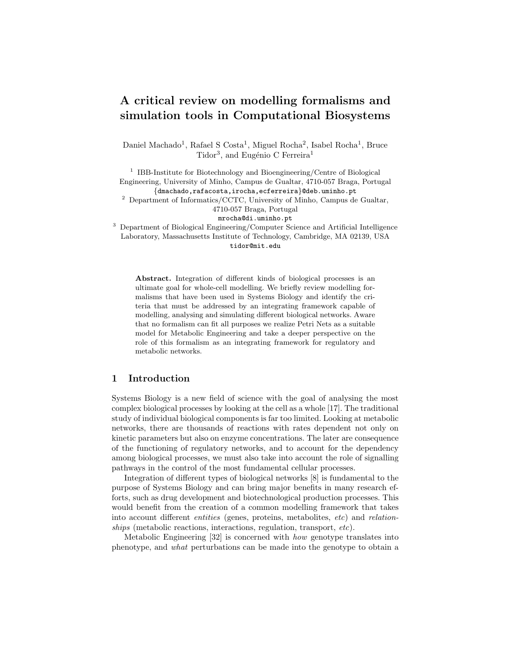# A critical review on modelling formalisms and simulation tools in Computational Biosystems

Daniel Machado<sup>1</sup>, Rafael S Costa<sup>1</sup>, Miguel Rocha<sup>2</sup>, Isabel Rocha<sup>1</sup>, Bruce Tidor<sup>3</sup>, and Eugénio C Ferreira<sup>1</sup>

<sup>1</sup> IBB-Institute for Biotechnology and Bioengineering/Centre of Biological Engineering, University of Minho, Campus de Gualtar, 4710-057 Braga, Portugal {dmachado,rafacosta,irocha,ecferreira}@deb.uminho.pt

<sup>2</sup> Department of Informatics/CCTC, University of Minho, Campus de Gualtar, 4710-057 Braga, Portugal

mrocha@di.uminho.pt

<sup>3</sup> Department of Biological Engineering/Computer Science and Artificial Intelligence Laboratory, Massachusetts Institute of Technology, Cambridge, MA 02139, USA tidor@mit.edu

Abstract. Integration of different kinds of biological processes is an ultimate goal for whole-cell modelling. We briefly review modelling formalisms that have been used in Systems Biology and identify the criteria that must be addressed by an integrating framework capable of modelling, analysing and simulating different biological networks. Aware that no formalism can fit all purposes we realize Petri Nets as a suitable model for Metabolic Engineering and take a deeper perspective on the role of this formalism as an integrating framework for regulatory and metabolic networks.

### 1 Introduction

Systems Biology is a new field of science with the goal of analysing the most complex biological processes by looking at the cell as a whole [17]. The traditional study of individual biological components is far too limited. Looking at metabolic networks, there are thousands of reactions with rates dependent not only on kinetic parameters but also on enzyme concentrations. The later are consequence of the functioning of regulatory networks, and to account for the dependency among biological processes, we must also take into account the role of signalling pathways in the control of the most fundamental cellular processes.

Integration of different types of biological networks [8] is fundamental to the purpose of Systems Biology and can bring major benefits in many research efforts, such as drug development and biotechnological production processes. This would benefit from the creation of a common modelling framework that takes into account different entities (genes, proteins, metabolites, etc) and relationships (metabolic reactions, interactions, regulation, transport, etc).

Metabolic Engineering [32] is concerned with how genotype translates into phenotype, and what perturbations can be made into the genotype to obtain a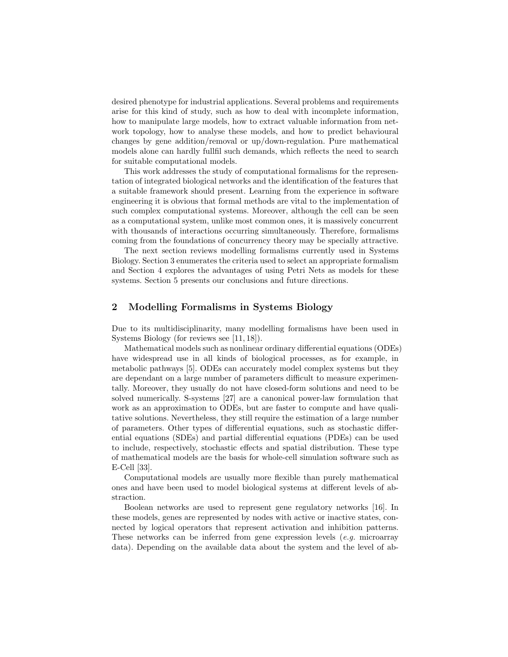desired phenotype for industrial applications. Several problems and requirements arise for this kind of study, such as how to deal with incomplete information, how to manipulate large models, how to extract valuable information from network topology, how to analyse these models, and how to predict behavioural changes by gene addition/removal or up/down-regulation. Pure mathematical models alone can hardly fullfil such demands, which reflects the need to search for suitable computational models.

This work addresses the study of computational formalisms for the representation of integrated biological networks and the identification of the features that a suitable framework should present. Learning from the experience in software engineering it is obvious that formal methods are vital to the implementation of such complex computational systems. Moreover, although the cell can be seen as a computational system, unlike most common ones, it is massively concurrent with thousands of interactions occurring simultaneously. Therefore, formalisms coming from the foundations of concurrency theory may be specially attractive.

The next section reviews modelling formalisms currently used in Systems Biology. Section 3 enumerates the criteria used to select an appropriate formalism and Section 4 explores the advantages of using Petri Nets as models for these systems. Section 5 presents our conclusions and future directions.

#### 2 Modelling Formalisms in Systems Biology

Due to its multidisciplinarity, many modelling formalisms have been used in Systems Biology (for reviews see [11, 18]).

Mathematical models such as nonlinear ordinary differential equations (ODEs) have widespread use in all kinds of biological processes, as for example, in metabolic pathways [5]. ODEs can accurately model complex systems but they are dependant on a large number of parameters difficult to measure experimentally. Moreover, they usually do not have closed-form solutions and need to be solved numerically. S-systems [27] are a canonical power-law formulation that work as an approximation to ODEs, but are faster to compute and have qualitative solutions. Nevertheless, they still require the estimation of a large number of parameters. Other types of differential equations, such as stochastic differential equations (SDEs) and partial differential equations (PDEs) can be used to include, respectively, stochastic effects and spatial distribution. These type of mathematical models are the basis for whole-cell simulation software such as E-Cell [33].

Computational models are usually more flexible than purely mathematical ones and have been used to model biological systems at different levels of abstraction.

Boolean networks are used to represent gene regulatory networks [16]. In these models, genes are represented by nodes with active or inactive states, connected by logical operators that represent activation and inhibition patterns. These networks can be inferred from gene expression levels  $(e.g.$  microarray data). Depending on the available data about the system and the level of ab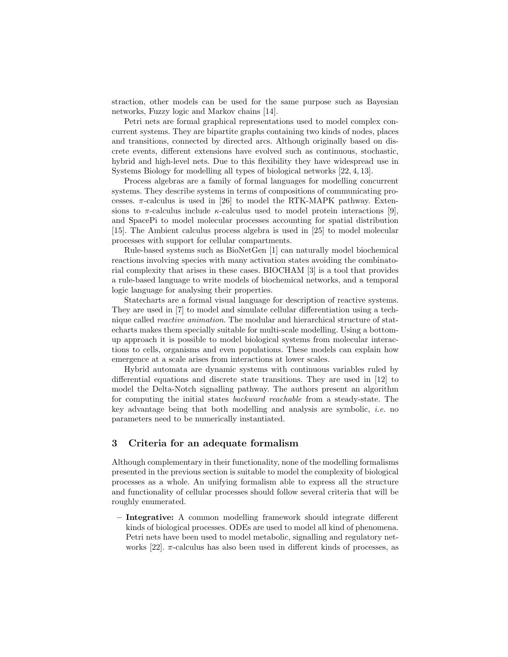straction, other models can be used for the same purpose such as Bayesian networks, Fuzzy logic and Markov chains [14].

Petri nets are formal graphical representations used to model complex concurrent systems. They are bipartite graphs containing two kinds of nodes, places and transitions, connected by directed arcs. Although originally based on discrete events, different extensions have evolved such as continuous, stochastic, hybrid and high-level nets. Due to this flexibility they have widespread use in Systems Biology for modelling all types of biological networks [22, 4, 13].

Process algebras are a family of formal languages for modelling concurrent systems. They describe systems in terms of compositions of communicating processes.  $\pi$ -calculus is used in [26] to model the RTK-MAPK pathway. Extensions to  $\pi$ -calculus include  $\kappa$ -calculus used to model protein interactions [9], and SpacePi to model molecular processes accounting for spatial distribution [15]. The Ambient calculus process algebra is used in [25] to model molecular processes with support for cellular compartments.

Rule-based systems such as BioNetGen [1] can naturally model biochemical reactions involving species with many activation states avoiding the combinatorial complexity that arises in these cases. BIOCHAM [3] is a tool that provides a rule-based language to write models of biochemical networks, and a temporal logic language for analysing their properties.

Statecharts are a formal visual language for description of reactive systems. They are used in [7] to model and simulate cellular differentiation using a technique called reactive animation. The modular and hierarchical structure of statecharts makes them specially suitable for multi-scale modelling. Using a bottomup approach it is possible to model biological systems from molecular interactions to cells, organisms and even populations. These models can explain how emergence at a scale arises from interactions at lower scales.

Hybrid automata are dynamic systems with continuous variables ruled by differential equations and discrete state transitions. They are used in [12] to model the Delta-Notch signalling pathway. The authors present an algorithm for computing the initial states backward reachable from a steady-state. The key advantage being that both modelling and analysis are symbolic, i.e. no parameters need to be numerically instantiated.

#### 3 Criteria for an adequate formalism

Although complementary in their functionality, none of the modelling formalisms presented in the previous section is suitable to model the complexity of biological processes as a whole. An unifying formalism able to express all the structure and functionality of cellular processes should follow several criteria that will be roughly enumerated.

– Integrative: A common modelling framework should integrate different kinds of biological processes. ODEs are used to model all kind of phenomena. Petri nets have been used to model metabolic, signalling and regulatory networks [22].  $\pi$ -calculus has also been used in different kinds of processes, as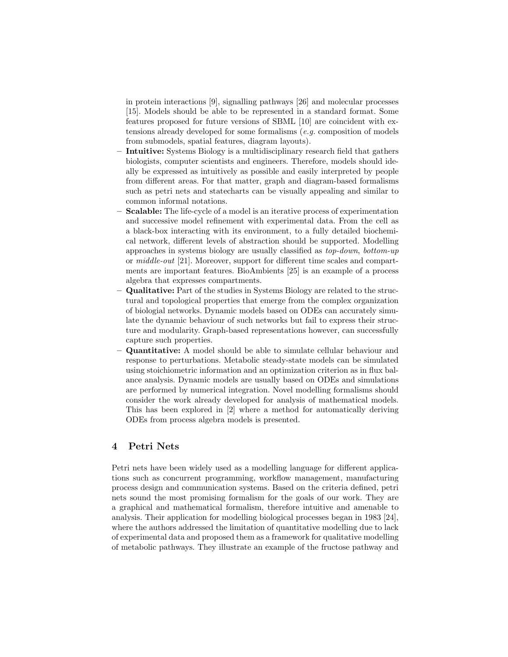in protein interactions [9], signalling pathways [26] and molecular processes [15]. Models should be able to be represented in a standard format. Some features proposed for future versions of SBML [10] are coincident with extensions already developed for some formalisms (e.g. composition of models from submodels, spatial features, diagram layouts).

- Intuitive: Systems Biology is a multidisciplinary research field that gathers biologists, computer scientists and engineers. Therefore, models should ideally be expressed as intuitively as possible and easily interpreted by people from different areas. For that matter, graph and diagram-based formalisms such as petri nets and statecharts can be visually appealing and similar to common informal notations.
- Scalable: The life-cycle of a model is an iterative process of experimentation and successive model refinement with experimental data. From the cell as a black-box interacting with its environment, to a fully detailed biochemical network, different levels of abstraction should be supported. Modelling approaches in systems biology are usually classified as top-down, bottom-up or middle-out [21]. Moreover, support for different time scales and compartments are important features. BioAmbients [25] is an example of a process algebra that expresses compartments.
- Qualitative: Part of the studies in Systems Biology are related to the structural and topological properties that emerge from the complex organization of biologial networks. Dynamic models based on ODEs can accurately simulate the dynamic behaviour of such networks but fail to express their structure and modularity. Graph-based representations however, can successfully capture such properties.
- Quantitative: A model should be able to simulate cellular behaviour and response to perturbations. Metabolic steady-state models can be simulated using stoichiometric information and an optimization criterion as in flux balance analysis. Dynamic models are usually based on ODEs and simulations are performed by numerical integration. Novel modelling formalisms should consider the work already developed for analysis of mathematical models. This has been explored in [2] where a method for automatically deriving ODEs from process algebra models is presented.

# 4 Petri Nets

Petri nets have been widely used as a modelling language for different applications such as concurrent programming, workflow management, manufacturing process design and communication systems. Based on the criteria defined, petri nets sound the most promising formalism for the goals of our work. They are a graphical and mathematical formalism, therefore intuitive and amenable to analysis. Their application for modelling biological processes began in 1983 [24], where the authors addressed the limitation of quantitative modelling due to lack of experimental data and proposed them as a framework for qualitative modelling of metabolic pathways. They illustrate an example of the fructose pathway and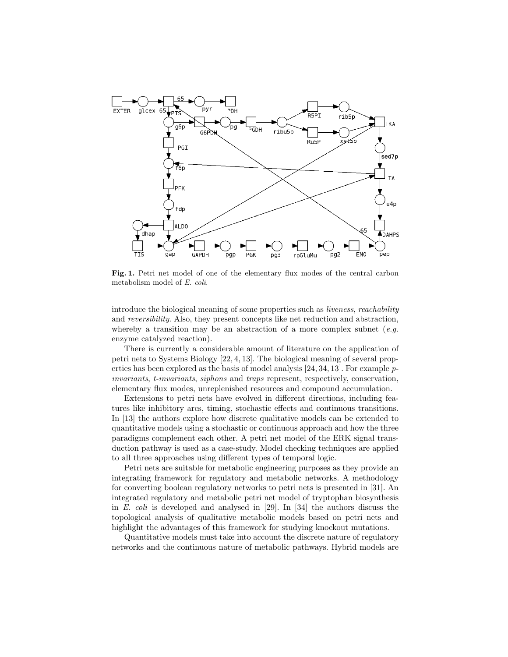

Fig. 1. Petri net model of one of the elementary flux modes of the central carbon metabolism model of E. coli.

introduce the biological meaning of some properties such as liveness, reachability and reversibility. Also, they present concepts like net reduction and abstraction, whereby a transition may be an abstraction of a more complex subnet  $(e.g.,)$ enzyme catalyzed reaction).

There is currently a considerable amount of literature on the application of petri nets to Systems Biology [22, 4, 13]. The biological meaning of several properties has been explored as the basis of model analysis [24, 34, 13]. For example pinvariants, t-invariants, siphons and traps represent, respectively, conservation, elementary flux modes, unreplenished resources and compound accumulation.

Extensions to petri nets have evolved in different directions, including features like inhibitory arcs, timing, stochastic effects and continuous transitions. In [13] the authors explore how discrete qualitative models can be extended to quantitative models using a stochastic or continuous approach and how the three paradigms complement each other. A petri net model of the ERK signal transduction pathway is used as a case-study. Model checking techniques are applied to all three approaches using different types of temporal logic.

Petri nets are suitable for metabolic engineering purposes as they provide an integrating framework for regulatory and metabolic networks. A methodology for converting boolean regulatory networks to petri nets is presented in [31]. An integrated regulatory and metabolic petri net model of tryptophan biosynthesis in E. coli is developed and analysed in [29]. In [34] the authors discuss the topological analysis of qualitative metabolic models based on petri nets and highlight the advantages of this framework for studying knockout mutations.

Quantitative models must take into account the discrete nature of regulatory networks and the continuous nature of metabolic pathways. Hybrid models are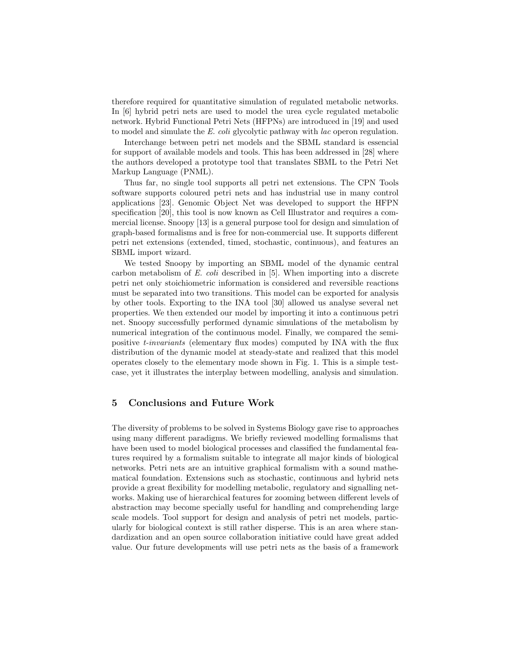therefore required for quantitative simulation of regulated metabolic networks. In [6] hybrid petri nets are used to model the urea cycle regulated metabolic network. Hybrid Functional Petri Nets (HFPNs) are introduced in [19] and used to model and simulate the E. coli glycolytic pathway with lac operon regulation.

Interchange between petri net models and the SBML standard is essencial for support of available models and tools. This has been addressed in [28] where the authors developed a prototype tool that translates SBML to the Petri Net Markup Language (PNML).

Thus far, no single tool supports all petri net extensions. The CPN Tools software supports coloured petri nets and has industrial use in many control applications [23]. Genomic Object Net was developed to support the HFPN specification [20], this tool is now known as Cell Illustrator and requires a commercial license. Snoopy [13] is a general purpose tool for design and simulation of graph-based formalisms and is free for non-commercial use. It supports different petri net extensions (extended, timed, stochastic, continuous), and features an SBML import wizard.

We tested Snoopy by importing an SBML model of the dynamic central carbon metabolism of E. coli described in [5]. When importing into a discrete petri net only stoichiometric information is considered and reversible reactions must be separated into two transitions. This model can be exported for analysis by other tools. Exporting to the INA tool [30] allowed us analyse several net properties. We then extended our model by importing it into a continuous petri net. Snoopy successfully performed dynamic simulations of the metabolism by numerical integration of the continuous model. Finally, we compared the semipositive t-invariants (elementary flux modes) computed by INA with the flux distribution of the dynamic model at steady-state and realized that this model operates closely to the elementary mode shown in Fig. 1. This is a simple testcase, yet it illustrates the interplay between modelling, analysis and simulation.

# 5 Conclusions and Future Work

The diversity of problems to be solved in Systems Biology gave rise to approaches using many different paradigms. We briefly reviewed modelling formalisms that have been used to model biological processes and classified the fundamental features required by a formalism suitable to integrate all major kinds of biological networks. Petri nets are an intuitive graphical formalism with a sound mathematical foundation. Extensions such as stochastic, continuous and hybrid nets provide a great flexibility for modelling metabolic, regulatory and signalling networks. Making use of hierarchical features for zooming between different levels of abstraction may become specially useful for handling and comprehending large scale models. Tool support for design and analysis of petri net models, particularly for biological context is still rather disperse. This is an area where standardization and an open source collaboration initiative could have great added value. Our future developments will use petri nets as the basis of a framework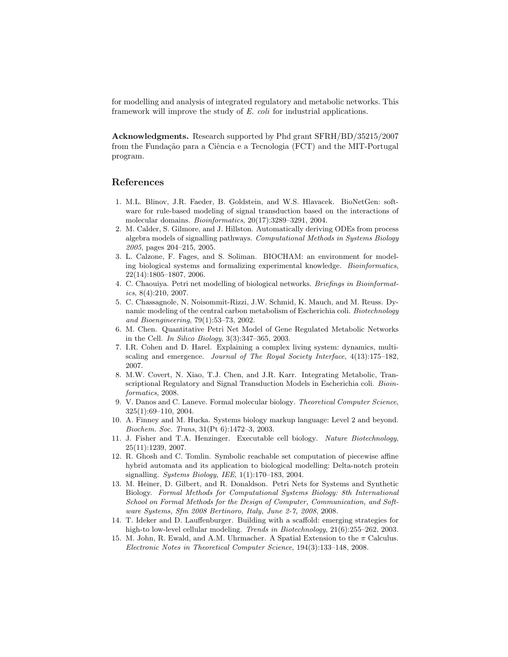for modelling and analysis of integrated regulatory and metabolic networks. This framework will improve the study of E. coli for industrial applications.

Acknowledgments. Research supported by Phd grant SFRH/BD/35215/2007 from the Fundação para a Ciência e a Tecnologia (FCT) and the MIT-Portugal program.

#### References

- 1. M.L. Blinov, J.R. Faeder, B. Goldstein, and W.S. Hlavacek. BioNetGen: software for rule-based modeling of signal transduction based on the interactions of molecular domains. Bioinformatics, 20(17):3289–3291, 2004.
- 2. M. Calder, S. Gilmore, and J. Hillston. Automatically deriving ODEs from process algebra models of signalling pathways. Computational Methods in Systems Biology 2005, pages 204–215, 2005.
- 3. L. Calzone, F. Fages, and S. Soliman. BIOCHAM: an environment for modeling biological systems and formalizing experimental knowledge. Bioinformatics, 22(14):1805–1807, 2006.
- 4. C. Chaouiya. Petri net modelling of biological networks. Briefings in Bioinformatics,  $8(4):210$ ,  $2007$ .
- 5. C. Chassagnole, N. Noisommit-Rizzi, J.W. Schmid, K. Mauch, and M. Reuss. Dynamic modeling of the central carbon metabolism of Escherichia coli. Biotechnology and Bioengineering, 79(1):53–73, 2002.
- 6. M. Chen. Quantitative Petri Net Model of Gene Regulated Metabolic Networks in the Cell. In Silico Biology, 3(3):347–365, 2003.
- 7. I.R. Cohen and D. Harel. Explaining a complex living system: dynamics, multiscaling and emergence. Journal of The Royal Society Interface, 4(13):175–182, 2007.
- 8. M.W. Covert, N. Xiao, T.J. Chen, and J.R. Karr. Integrating Metabolic, Transcriptional Regulatory and Signal Transduction Models in Escherichia coli. Bioinformatics, 2008.
- 9. V. Danos and C. Laneve. Formal molecular biology. Theoretical Computer Science, 325(1):69–110, 2004.
- 10. A. Finney and M. Hucka. Systems biology markup language: Level 2 and beyond. Biochem. Soc. Trans, 31(Pt 6):1472–3, 2003.
- 11. J. Fisher and T.A. Henzinger. Executable cell biology. Nature Biotechnology, 25(11):1239, 2007.
- 12. R. Ghosh and C. Tomlin. Symbolic reachable set computation of piecewise affine hybrid automata and its application to biological modelling: Delta-notch protein signalling. Systems Biology, IEE, 1(1):170–183, 2004.
- 13. M. Heiner, D. Gilbert, and R. Donaldson. Petri Nets for Systems and Synthetic Biology. Formal Methods for Computational Systems Biology: 8th International School on Formal Methods for the Design of Computer, Communication, and Software Systems, Sfm 2008 Bertinoro, Italy, June 2-7, 2008, 2008.
- 14. T. Ideker and D. Lauffenburger. Building with a scaffold: emerging strategies for high-to low-level cellular modeling. Trends in Biotechnology,  $21(6):255-262$ , 2003.
- 15. M. John, R. Ewald, and A.M. Uhrmacher. A Spatial Extension to the  $\pi$  Calculus. Electronic Notes in Theoretical Computer Science, 194(3):133–148, 2008.